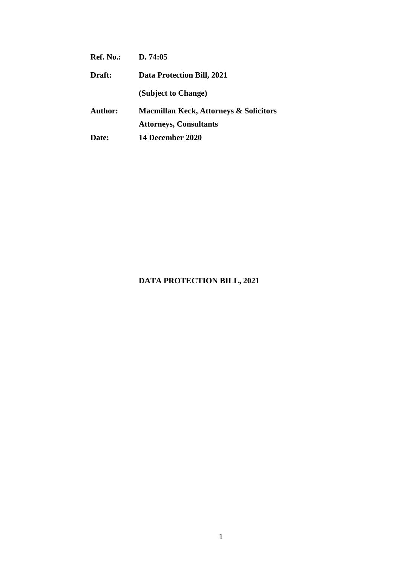| <b>Ref. No.:</b> | D. $74:05$                                        |
|------------------|---------------------------------------------------|
| Draft:           | Data Protection Bill, 2021                        |
|                  | (Subject to Change)                               |
| Author:          | <b>Macmillan Keck, Attorneys &amp; Solicitors</b> |
|                  | <b>Attorneys, Consultants</b>                     |
| Date:            | <b>14 December 2020</b>                           |

# **DATA PROTECTION BILL, 2021**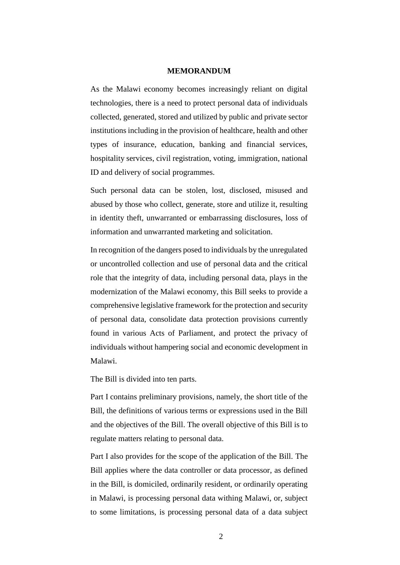#### **MEMORANDUM**

As the Malawi economy becomes increasingly reliant on digital technologies, there is a need to protect personal data of individuals collected, generated, stored and utilized by public and private sector institutions including in the provision of healthcare, health and other types of insurance, education, banking and financial services, hospitality services, civil registration, voting, immigration, national ID and delivery of social programmes.

Such personal data can be stolen, lost, disclosed, misused and abused by those who collect, generate, store and utilize it, resulting in identity theft, unwarranted or embarrassing disclosures, loss of information and unwarranted marketing and solicitation.

In recognition of the dangers posed to individuals by the unregulated or uncontrolled collection and use of personal data and the critical role that the integrity of data, including personal data, plays in the modernization of the Malawi economy, this Bill seeks to provide a comprehensive legislative framework for the protection and security of personal data, consolidate data protection provisions currently found in various Acts of Parliament, and protect the privacy of individuals without hampering social and economic development in Malawi.

The Bill is divided into ten parts.

Part I contains preliminary provisions, namely, the short title of the Bill, the definitions of various terms or expressions used in the Bill and the objectives of the Bill. The overall objective of this Bill is to regulate matters relating to personal data.

Part I also provides for the scope of the application of the Bill. The Bill applies where the data controller or data processor, as defined in the Bill, is domiciled, ordinarily resident, or ordinarily operating in Malawi, is processing personal data withing Malawi, or, subject to some limitations, is processing personal data of a data subject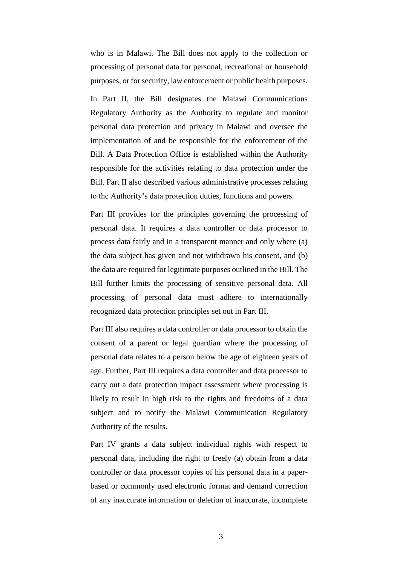who is in Malawi. The Bill does not apply to the collection or processing of personal data for personal, recreational or household purposes, or for security, law enforcement or public health purposes.

In Part II, the Bill designates the Malawi Communications Regulatory Authority as the Authority to regulate and monitor personal data protection and privacy in Malawi and oversee the implementation of and be responsible for the enforcement of the Bill. A Data Protection Office is established within the Authority responsible for the activities relating to data protection under the Bill. Part II also described various administrative processes relating to the Authority's data protection duties, functions and powers.

Part III provides for the principles governing the processing of personal data. It requires a data controller or data processor to process data fairly and in a transparent manner and only where (a) the data subject has given and not withdrawn his consent, and (b) the data are required for legitimate purposes outlined in the Bill. The Bill further limits the processing of sensitive personal data. All processing of personal data must adhere to internationally recognized data protection principles set out in Part III.

Part III also requires a data controller or data processor to obtain the consent of a parent or legal guardian where the processing of personal data relates to a person below the age of eighteen years of age. Further, Part III requires a data controller and data processor to carry out a data protection impact assessment where processing is likely to result in high risk to the rights and freedoms of a data subject and to notify the Malawi Communication Regulatory Authority of the results.

Part IV grants a data subject individual rights with respect to personal data, including the right to freely (a) obtain from a data controller or data processor copies of his personal data in a paperbased or commonly used electronic format and demand correction of any inaccurate information or deletion of inaccurate, incomplete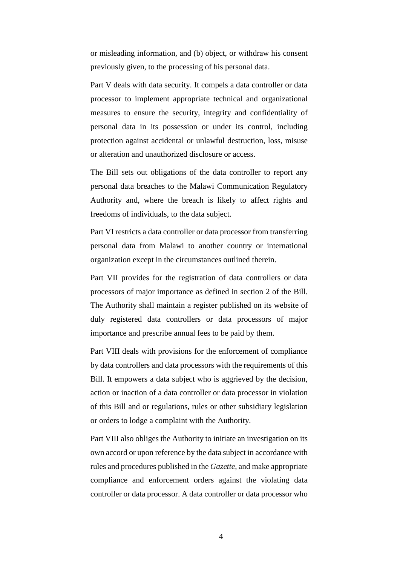or misleading information, and (b) object, or withdraw his consent previously given, to the processing of his personal data.

Part V deals with data security. It compels a data controller or data processor to implement appropriate technical and organizational measures to ensure the security, integrity and confidentiality of personal data in its possession or under its control, including protection against accidental or unlawful destruction, loss, misuse or alteration and unauthorized disclosure or access.

The Bill sets out obligations of the data controller to report any personal data breaches to the Malawi Communication Regulatory Authority and, where the breach is likely to affect rights and freedoms of individuals, to the data subject.

Part VI restricts a data controller or data processor from transferring personal data from Malawi to another country or international organization except in the circumstances outlined therein.

Part VII provides for the registration of data controllers or data processors of major importance as defined in section 2 of the Bill. The Authority shall maintain a register published on its website of duly registered data controllers or data processors of major importance and prescribe annual fees to be paid by them.

Part VIII deals with provisions for the enforcement of compliance by data controllers and data processors with the requirements of this Bill. It empowers a data subject who is aggrieved by the decision, action or inaction of a data controller or data processor in violation of this Bill and or regulations, rules or other subsidiary legislation or orders to lodge a complaint with the Authority.

Part VIII also obliges the Authority to initiate an investigation on its own accord or upon reference by the data subject in accordance with rules and procedures published in the *Gazette,* and make appropriate compliance and enforcement orders against the violating data controller or data processor. A data controller or data processor who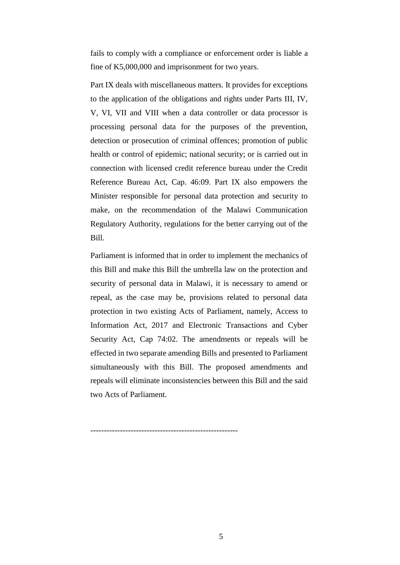fails to comply with a compliance or enforcement order is liable a fine of K5,000,000 and imprisonment for two years.

Part IX deals with miscellaneous matters. It provides for exceptions to the application of the obligations and rights under Parts III, IV, V, VI, VII and VIII when a data controller or data processor is processing personal data for the purposes of the prevention, detection or prosecution of criminal offences; promotion of public health or control of epidemic; national security; or is carried out in connection with licensed credit reference bureau under the Credit Reference Bureau Act, Cap. 46:09. Part IX also empowers the Minister responsible for personal data protection and security to make, on the recommendation of the Malawi Communication Regulatory Authority, regulations for the better carrying out of the Bill.

Parliament is informed that in order to implement the mechanics of this Bill and make this Bill the umbrella law on the protection and security of personal data in Malawi, it is necessary to amend or repeal, as the case may be, provisions related to personal data protection in two existing Acts of Parliament, namely, Access to Information Act, 2017 and Electronic Transactions and Cyber Security Act, Cap 74:02. The amendments or repeals will be effected in two separate amending Bills and presented to Parliament simultaneously with this Bill. The proposed amendments and repeals will eliminate inconsistencies between this Bill and the said two Acts of Parliament.

-------------------------------------------------------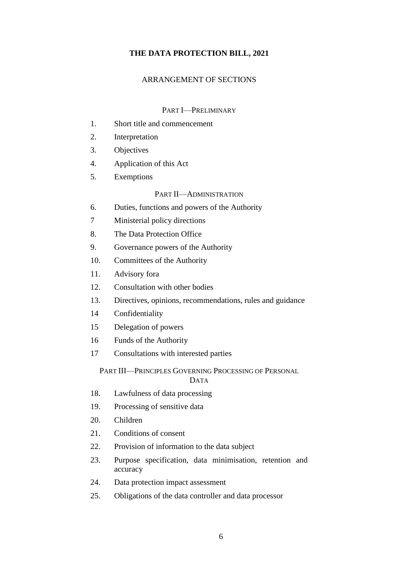## **THE DATA PROTECTION BILL, 2021**

### ARRANGEMENT OF SECTIONS

### PART I—PRELIMINARY

- [1.](#page-7-0) Short title and commencement
- [2.](#page-7-1) Interpretation
- [3.](#page-8-0) Objectives
- [4.](#page-9-0) Application of this Act
- [5.](#page-9-1) Exemptions

#### PART II—ADMINISTRATION

- [6.](#page-9-2) Duties, functions and powers of the Authority
- [7](#page-11-0) Ministerial policy directions
- [8.](#page-11-1) The Data Protection Office
- 9. Governance powers of the Authority
- [10.](#page-11-2) Committees of the Authority
- [11.](#page-12-0) Advisory fora
- [12.](#page-12-1) Consultation with other bodies
- [13.](#page-12-2) Directives, opinions, recommendations, rules and guidance
- [14](#page-13-0) Confidentiality
- [15](#page-14-0) Delegation of powers
- [16](#page-14-1) Funds of the Authority
- [17](#page-15-0) Consultations with interested parties

PART III—PRINCIPLES GOVERNING PROCESSING OF PERSONAL

DATA

- [18.](#page-15-1) Lawfulness of data processing
- [19.](#page-16-0) Processing of sensitive data
- [20.](#page-17-0) Children
- [21.](#page-17-1) Conditions of consent
- [22.](#page-17-2) Provision of information to the data subject
- [23.](#page-18-0) Purpose specification, data minimisation, retention and accuracy
- [24.](#page-18-1) Data protection impact assessment
- [25.](#page-19-0) Obligations of the data controller and data processor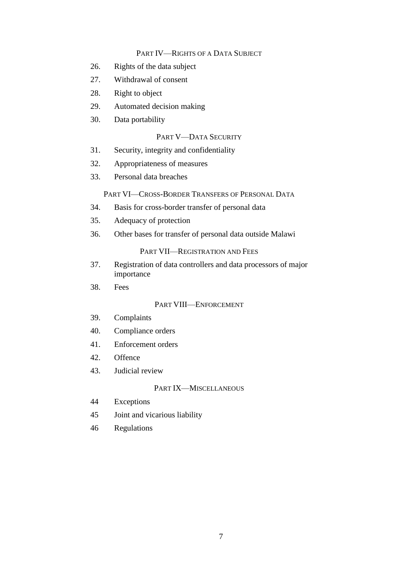### PART IV—RIGHTS OF A DATA SUBJECT

- [26.](#page-19-1) Rights of the data subject
- [27.](#page-20-0) Withdrawal of consent
- [28.](#page-20-1) Right to object
- [29.](#page-20-2) Automated decision making
- [30.](#page-20-3) Data portability

### PART V—DATA SECURITY

- [31.](#page-21-0) Security, integrity and confidentiality
- [32.](#page-21-1) Appropriateness of measures
- [33.](#page-22-0) Personal data breaches

### PART VI—CROSS-BORDER TRANSFERS OF PERSONAL DATA

- [34.](#page-23-0) Basis for cross-border transfer of personal data
- [35.](#page-24-0) Adequacy of protection
- [36.](#page-25-0) Other bases for transfer of personal data outside Malawi

PART VII—REGISTRATION AND FEES

- [37.](#page-25-1) Registration of data controllers and data processors of major importance
- [38.](#page-26-0) Fees

### PART VIII—ENFORCEMENT

- [39.](#page-26-1) Complaints
- [40.](#page-27-0) Compliance orders
- [41.](#page-28-0) Enforcement orders
- [42.](#page-28-1) Offence
- [43.](#page-28-2) Judicial review

### PART IX—MISCELLANEOUS

- [44](#page-29-0) Exceptions
- [45](#page-29-1) Joint and vicarious liability
- [46](#page-29-2) Regulations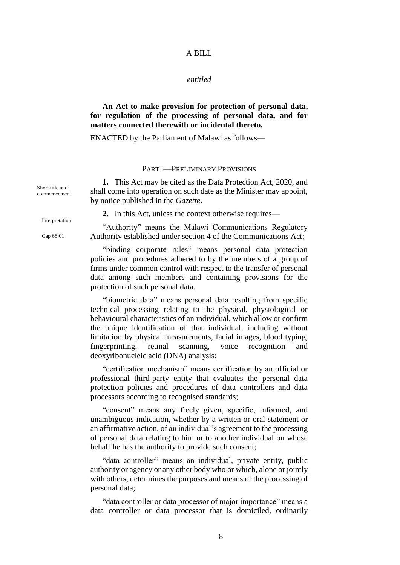#### A BILL

#### *entitled*

### **An Act to make provision for protection of personal data, for regulation of the processing of personal data, and for matters connected therewith or incidental thereto.**

ENACTED by the Parliament of Malawi as follows—

#### PART I—PRELIMINARY PROVISIONS

<span id="page-7-0"></span>**1.** This Act may be cited as the Data Protection Act, 2020, and shall come into operation on such date as the Minister may appoint, by notice published in the *Gazette*.

<span id="page-7-1"></span>**2.** In this Act, unless the context otherwise requires—

"Authority" means the Malawi Communications Regulatory Authority established under section 4 of the Communications Act;

"binding corporate rules" means personal data protection policies and procedures adhered to by the members of a group of firms under common control with respect to the transfer of personal data among such members and containing provisions for the protection of such personal data.

"biometric data" means personal data resulting from specific technical processing relating to the physical, physiological or behavioural characteristics of an individual, which allow or confirm the unique identification of that individual, including without limitation by physical measurements, facial images, blood typing, fingerprinting, retinal scanning, voice recognition and deoxyribonucleic acid (DNA) analysis;

"certification mechanism" means certification by an official or professional third-party entity that evaluates the personal data protection policies and procedures of data controllers and data processors according to recognised standards;

"consent" means any freely given, specific, informed, and unambiguous indication, whether by a written or oral statement or an affirmative action, of an individual's agreement to the processing of personal data relating to him or to another individual on whose behalf he has the authority to provide such consent;

"data controller" means an individual, private entity, public authority or agency or any other body who or which, alone or jointly with others, determines the purposes and means of the processing of personal data;

"data controller or data processor of major importance" means a data controller or data processor that is domiciled, ordinarily

Short title and commencement

Interpretation

Cap 68:01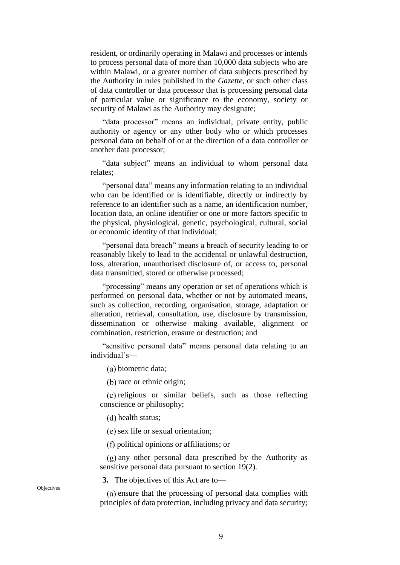resident, or ordinarily operating in Malawi and processes or intends to process personal data of more than 10,000 data subjects who are within Malawi, or a greater number of data subjects prescribed by the Authority in rules published in the *Gazette*, or such other class of data controller or data processor that is processing personal data of particular value or significance to the economy, society or security of Malawi as the Authority may designate;

"data processor" means an individual, private entity, public authority or agency or any other body who or which processes personal data on behalf of or at the direction of a data controller or another data processor;

"data subject" means an individual to whom personal data relates;

"personal data" means any information relating to an individual who can be identified or is identifiable, directly or indirectly by reference to an identifier such as a name, an identification number, location data, an online identifier or one or more factors specific to the physical, physiological, genetic, psychological, cultural, social or economic identity of that individual;

"personal data breach" means a breach of security leading to or reasonably likely to lead to the accidental or unlawful destruction, loss, alteration, unauthorised disclosure of, or access to, personal data transmitted, stored or otherwise processed;

"processing" means any operation or set of operations which is performed on personal data, whether or not by automated means, such as collection, recording, organisation, storage, adaptation or alteration, retrieval, consultation, use, disclosure by transmission, dissemination or otherwise making available, alignment or combination, restriction, erasure or destruction; and

"sensitive personal data" means personal data relating to an individual's—

biometric data;

 $(b)$  race or ethnic origin;

 $\alpha$  religious or similar beliefs, such as those reflecting conscience or philosophy;

(d) health status:

(e) sex life or sexual orientation;

political opinions or affiliations; or

 $(g)$  any other personal data prescribed by the Authority as sensitive personal data pursuant to section [19](#page-16-0)[\(2\).](#page-16-1)

<span id="page-8-0"></span>**3.** The objectives of this Act are to—

(a) ensure that the processing of personal data complies with principles of data protection, including privacy and data security;

**Objectives**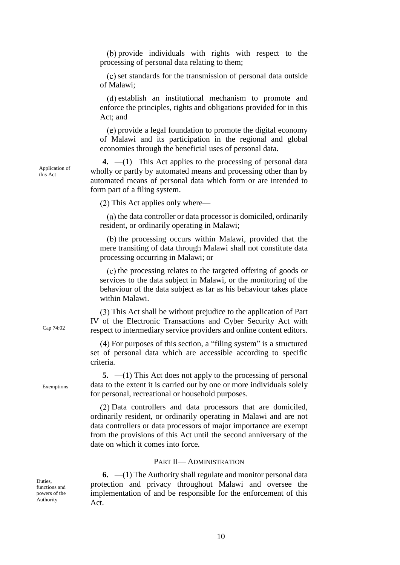$(b)$  provide individuals with rights with respect to the processing of personal data relating to them;

set standards for the transmission of personal data outside of Malawi;

(d) establish an institutional mechanism to promote and enforce the principles, rights and obligations provided for in this Act; and

provide a legal foundation to promote the digital economy of Malawi and its participation in the regional and global economies through the beneficial uses of personal data.

<span id="page-9-0"></span>**4.** —(1) This Act applies to the processing of personal data wholly or partly by automated means and processing other than by automated means of personal data which form or are intended to form part of a filing system.

 $(2)$  This Act applies only where—

(a) the data controller or data processor is domiciled, ordinarily resident, or ordinarily operating in Malawi;

 $(b)$  the processing occurs within Malawi, provided that the mere transiting of data through Malawi shall not constitute data processing occurring in Malawi; or

(c) the processing relates to the targeted offering of goods or services to the data subject in Malawi, or the monitoring of the behaviour of the data subject as far as his behaviour takes place within Malawi.

(3) This Act shall be without prejudice to the application of Part IV of the Electronic Transactions and Cyber Security Act with respect to intermediary service providers and online content editors.

For purposes of this section, a "filing system" is a structured set of personal data which are accessible according to specific criteria.

<span id="page-9-1"></span>**5.** —(1) This Act does not apply to the processing of personal data to the extent it is carried out by one or more individuals solely for personal, recreational or household purposes.

Data controllers and data processors that are domiciled, ordinarily resident, or ordinarily operating in Malawi and are not data controllers or data processors of major importance are exempt from the provisions of this Act until the second anniversary of the date on which it comes into force.

#### PART II— ADMINISTRATION

<span id="page-9-2"></span>**6.** —(1) The Authority shall regulate and monitor personal data protection and privacy throughout Malawi and oversee the implementation of and be responsible for the enforcement of this Act.

Application of this Act

Cap 74:02

Exemptions

**Duties** functions and powers of the Authority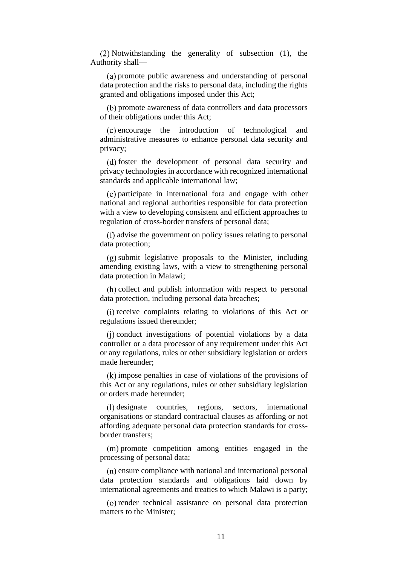$(2)$  Notwithstanding the generality of subsection  $(1)$ , the Authority shall—

(a) promote public awareness and understanding of personal data protection and the risks to personal data, including the rights granted and obligations imposed under this Act;

promote awareness of data controllers and data processors of their obligations under this Act;

 $(c)$  encourage the introduction of technological and administrative measures to enhance personal data security and privacy;

(d) foster the development of personal data security and privacy technologies in accordance with recognized international standards and applicable international law;

participate in international fora and engage with other national and regional authorities responsible for data protection with a view to developing consistent and efficient approaches to regulation of cross-border transfers of personal data;

advise the government on policy issues relating to personal data protection;

 $(g)$  submit legislative proposals to the Minister, including amending existing laws, with a view to strengthening personal data protection in Malawi;

 $(h)$  collect and publish information with respect to personal data protection, including personal data breaches;

 $\sigma$  (i) receive complaints relating to violations of this Act or regulations issued thereunder;

 $(i)$  conduct investigations of potential violations by a data controller or a data processor of any requirement under this Act or any regulations, rules or other subsidiary legislation or orders made hereunder;

 $(k)$  impose penalties in case of violations of the provisions of this Act or any regulations, rules or other subsidiary legislation or orders made hereunder;

designate countries, regions, sectors, international organisations or standard contractual clauses as affording or not affording adequate personal data protection standards for crossborder transfers;

(m) promote competition among entities engaged in the processing of personal data;

 $(n)$  ensure compliance with national and international personal data protection standards and obligations laid down by international agreements and treaties to which Malawi is a party;

(o) render technical assistance on personal data protection matters to the Minister;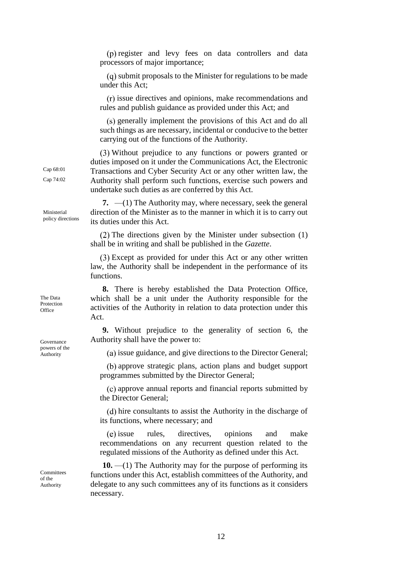$(p)$  register and levy fees on data controllers and data processors of major importance;

 $(q)$  submit proposals to the Minister for regulations to be made under this Act;

 $(r)$  issue directives and opinions, make recommendations and rules and publish guidance as provided under this Act; and

(s) generally implement the provisions of this Act and do all such things as are necessary, incidental or conducive to the better carrying out of the functions of the Authority.

Without prejudice to any functions or powers granted or duties imposed on it under the Communications Act, the Electronic Transactions and Cyber Security Act or any other written law, the Authority shall perform such functions, exercise such powers and undertake such duties as are conferred by this Act.

<span id="page-11-0"></span>**7.** —(1) The Authority may, where necessary, seek the general direction of the Minister as to the manner in which it is to carry out its duties under this Act.

 $(2)$  The directions given by the Minister under subsection  $(1)$ shall be in writing and shall be published in the *Gazette*.

Except as provided for under this Act or any other written law, the Authority shall be independent in the performance of its functions.

<span id="page-11-1"></span>**8.** There is hereby established the Data Protection Office, which shall be a unit under the Authority responsible for the activities of the Authority in relation to data protection under this Act.

**9.** Without prejudice to the generality of section 6, the Authority shall have the power to:

 $(a)$  issue guidance, and give directions to the Director General;

(b) approve strategic plans, action plans and budget support programmes submitted by the Director General;

approve annual reports and financial reports submitted by the Director General;

(d) hire consultants to assist the Authority in the discharge of its functions, where necessary; and

issue rules, directives, opinions and make recommendations on any recurrent question related to the regulated missions of the Authority as defined under this Act.

<span id="page-11-2"></span>**10.** —(1) The Authority may for the purpose of performing its functions under this Act, establish committees of the Authority, and delegate to any such committees any of its functions as it considers necessary.

Protection **Office** 

The Data

Governance powers of the Authority

Committees of the Authority

Cap 68:01 Cap 74:02

Ministerial policy directions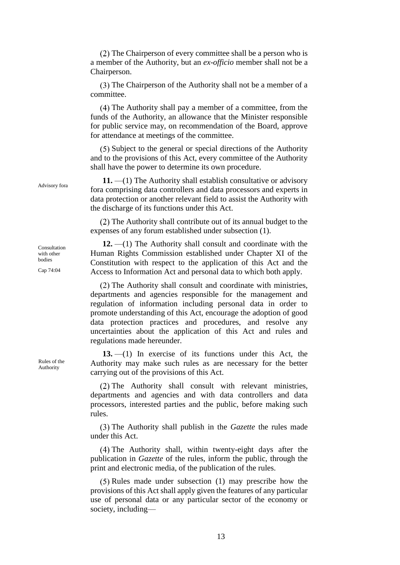$(2)$  The Chairperson of every committee shall be a person who is a member of the Authority, but an *ex-officio* member shall not be a Chairperson.

(3) The Chairperson of the Authority shall not be a member of a committee.

The Authority shall pay a member of a committee, from the funds of the Authority, an allowance that the Minister responsible for public service may, on recommendation of the Board, approve for attendance at meetings of the committee.

Subject to the general or special directions of the Authority and to the provisions of this Act, every committee of the Authority shall have the power to determine its own procedure.

<span id="page-12-0"></span>**11.** —(1) The Authority shall establish consultative or advisory fora comprising data controllers and data processors and experts in data protection or another relevant field to assist the Authority with the discharge of its functions under this Act.

(2) The Authority shall contribute out of its annual budget to the expenses of any forum established under subsection (1).

<span id="page-12-1"></span>**12.** —(1) The Authority shall consult and coordinate with the Human Rights Commission established under Chapter XI of the Constitution with respect to the application of this Act and the Access to Information Act and personal data to which both apply.

 $(2)$  The Authority shall consult and coordinate with ministries, departments and agencies responsible for the management and regulation of information including personal data in order to promote understanding of this Act, encourage the adoption of good data protection practices and procedures, and resolve any uncertainties about the application of this Act and rules and regulations made hereunder.

<span id="page-12-2"></span>**13.** —(1) In exercise of its functions under this Act, the Authority may make such rules as are necessary for the better carrying out of the provisions of this Act.

 $(2)$  The Authority shall consult with relevant ministries, departments and agencies and with data controllers and data processors, interested parties and the public, before making such rules.

The Authority shall publish in the *Gazette* the rules made under this Act.

(4) The Authority shall, within twenty-eight days after the publication in *Gazette* of the rules, inform the public, through the print and electronic media, of the publication of the rules.

 $(5)$  Rules made under subsection  $(1)$  may prescribe how the provisions of this Act shall apply given the features of any particular use of personal data or any particular sector of the economy or society, including—

Advisory fora

Consultation with other bodies

Cap 74:04

Rules of the Authority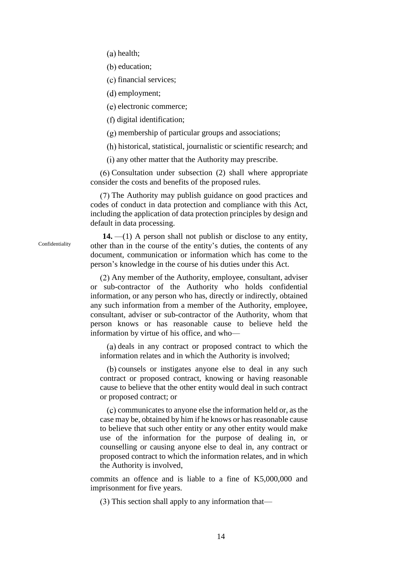(a) health;

(b) education;

(c) financial services;

 $(d)$  employment;

electronic commerce;

 $(f)$  digital identification;

 $(g)$  membership of particular groups and associations;

historical, statistical, journalistic or scientific research; and

(i) any other matter that the Authority may prescribe.

 $(6)$  Consultation under subsection  $(2)$  shall where appropriate consider the costs and benefits of the proposed rules.

The Authority may publish guidance on good practices and codes of conduct in data protection and compliance with this Act, including the application of data protection principles by design and default in data processing.

<span id="page-13-0"></span>**14.** —(1) A person shall not publish or disclose to any entity, other than in the course of the entity's duties, the contents of any document, communication or information which has come to the person's knowledge in the course of his duties under this Act.

Any member of the Authority, employee, consultant, adviser or sub-contractor of the Authority who holds confidential information, or any person who has, directly or indirectly, obtained any such information from a member of the Authority, employee, consultant, adviser or sub-contractor of the Authority, whom that person knows or has reasonable cause to believe held the information by virtue of his office, and who—

(a) deals in any contract or proposed contract to which the information relates and in which the Authority is involved;

(b) counsels or instigates anyone else to deal in any such contract or proposed contract, knowing or having reasonable cause to believe that the other entity would deal in such contract or proposed contract; or

 $(c)$  communicates to anyone else the information held or, as the case may be, obtained by him if he knows or has reasonable cause to believe that such other entity or any other entity would make use of the information for the purpose of dealing in, or counselling or causing anyone else to deal in, any contract or proposed contract to which the information relates, and in which the Authority is involved,

commits an offence and is liable to a fine of K5,000,000 and imprisonment for five years.

 $(3)$  This section shall apply to any information that—

Confidentiality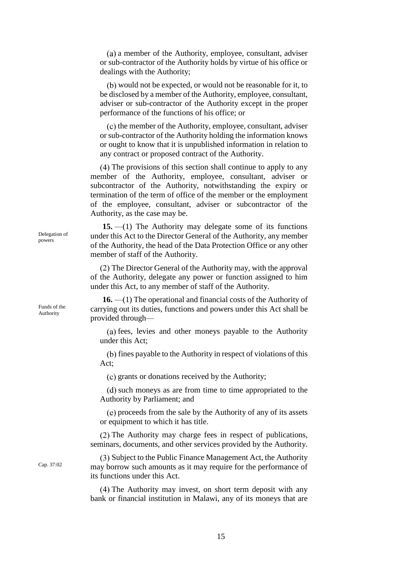a member of the Authority, employee, consultant, adviser or sub-contractor of the Authority holds by virtue of his office or dealings with the Authority;

would not be expected, or would not be reasonable for it, to be disclosed by a member of the Authority, employee, consultant, adviser or sub-contractor of the Authority except in the proper performance of the functions of his office; or

(c) the member of the Authority, employee, consultant, adviser or sub-contractor of the Authority holding the information knows or ought to know that it is unpublished information in relation to any contract or proposed contract of the Authority.

The provisions of this section shall continue to apply to any member of the Authority, employee, consultant, adviser or subcontractor of the Authority, notwithstanding the expiry or termination of the term of office of the member or the employment of the employee, consultant, adviser or subcontractor of the Authority, as the case may be.

<span id="page-14-0"></span>**15.** —(1) The Authority may delegate some of its functions under this Act to the Director General of the Authority, any member of the Authority, the head of the Data Protection Office or any other member of staff of the Authority.

 $(2)$  The Director General of the Authority may, with the approval of the Authority, delegate any power or function assigned to him under this Act, to any member of staff of the Authority.

<span id="page-14-1"></span>**16.** —(1) The operational and financial costs of the Authority of carrying out its duties, functions and powers under this Act shall be provided through—

fees, levies and other moneys payable to the Authority under this Act;

(b) fines payable to the Authority in respect of violations of this Act;

grants or donations received by the Authority;

(d) such moneys as are from time to time appropriated to the Authority by Parliament; and

proceeds from the sale by the Authority of any of its assets or equipment to which it has title.

 $(2)$  The Authority may charge fees in respect of publications, seminars, documents, and other services provided by the Authority.

(3) Subject to the Public Finance Management Act, the Authority may borrow such amounts as it may require for the performance of its functions under this Act.

(4) The Authority may invest, on short term deposit with any bank or financial institution in Malawi, any of its moneys that are

Delegation of powers

Funds of the Authority

Cap. 37:02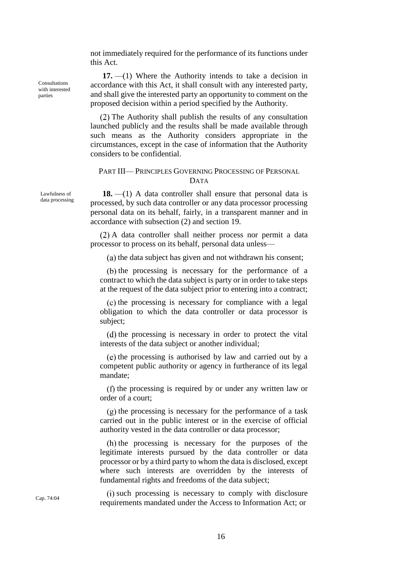not immediately required for the performance of its functions under this Act.

<span id="page-15-0"></span>**17.** —(1) Where the Authority intends to take a decision in accordance with this Act, it shall consult with any interested party, and shall give the interested party an opportunity to comment on the proposed decision within a period specified by the Authority.

 $(2)$  The Authority shall publish the results of any consultation launched publicly and the results shall be made available through such means as the Authority considers appropriate in the circumstances, except in the case of information that the Authority considers to be confidential.

### PART III— PRINCIPLES GOVERNING PROCESSING OF PERSONAL DATA

<span id="page-15-1"></span>**18.** —(1) A data controller shall ensure that personal data is processed, by such data controller or any data processor processing personal data on its behalf, fairly, in a transparent manner and in accordance with subsection [\(2\)](#page-15-2) and section [19.](#page-16-0)

<span id="page-15-2"></span> $(2)$  A data controller shall neither process nor permit a data processor to process on its behalf, personal data unless—

<span id="page-15-3"></span> $(a)$  the data subject has given and not withdrawn his consent;

 $(b)$  the processing is necessary for the performance of a contract to which the data subject is party or in order to take steps at the request of the data subject prior to entering into a contract;

 $\alpha$  (c) the processing is necessary for compliance with a legal obligation to which the data controller or data processor is subject;

 $(d)$  the processing is necessary in order to protect the vital interests of the data subject or another individual;

<span id="page-15-4"></span> $(e)$  the processing is authorised by law and carried out by a competent public authority or agency in furtherance of its legal mandate;

 $(t)$  the processing is required by or under any written law or order of a court;

 $(g)$  the processing is necessary for the performance of a task carried out in the public interest or in the exercise of official authority vested in the data controller or data processor;

<span id="page-15-5"></span> $(h)$  the processing is necessary for the purposes of the legitimate interests pursued by the data controller or data processor or by a third party to whom the data is disclosed, except where such interests are overridden by the interests of fundamental rights and freedoms of the data subject;

such processing is necessary to comply with disclosure requirements mandated under the Access to Information Act; or

Consultations with interested parties

Lawfulness of data processing

Cap. 74:04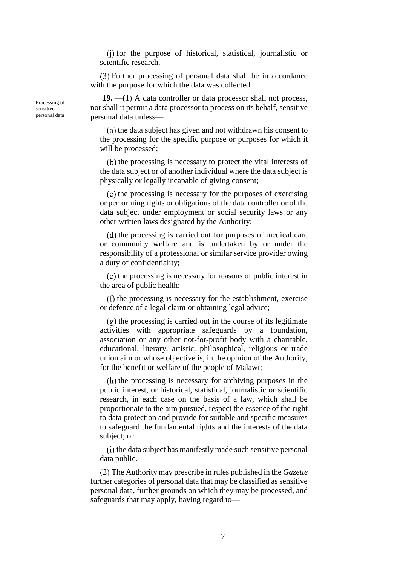$(i)$  for the purpose of historical, statistical, journalistic or scientific research.

Further processing of personal data shall be in accordance with the purpose for which the data was collected.

<span id="page-16-0"></span>**19.** —(1) A data controller or data processor shall not process, nor shall it permit a data processor to process on its behalf, sensitive personal data unless—

<span id="page-16-2"></span> $(a)$  the data subject has given and not withdrawn his consent to the processing for the specific purpose or purposes for which it will be processed;

(b) the processing is necessary to protect the vital interests of the data subject or of another individual where the data subject is physically or legally incapable of giving consent;

 $\alpha$  (c) the processing is necessary for the purposes of exercising or performing rights or obligations of the data controller or of the data subject under employment or social security laws or any other written laws designated by the Authority;

 $(d)$  the processing is carried out for purposes of medical care or community welfare and is undertaken by or under the responsibility of a professional or similar service provider owing a duty of confidentiality;

(e) the processing is necessary for reasons of public interest in the area of public health;

 $(f)$  the processing is necessary for the establishment, exercise or defence of a legal claim or obtaining legal advice;

 $(g)$  the processing is carried out in the course of its legitimate activities with appropriate safeguards by a foundation, association or any other not-for-profit body with a charitable, educational, literary, artistic, philosophical, religious or trade union aim or whose objective is, in the opinion of the Authority, for the benefit or welfare of the people of Malawi;

 $(h)$  the processing is necessary for archiving purposes in the public interest, or historical, statistical, journalistic or scientific research, in each case on the basis of a law, which shall be proportionate to the aim pursued, respect the essence of the right to data protection and provide for suitable and specific measures to safeguard the fundamental rights and the interests of the data subject; or

(i) the data subject has manifestly made such sensitive personal data public.

<span id="page-16-1"></span>The Authority may prescribe in rules published in the *Gazette* further categories of personal data that may be classified as sensitive personal data, further grounds on which they may be processed, and safeguards that may apply, having regard to—

Processing of sensitive personal data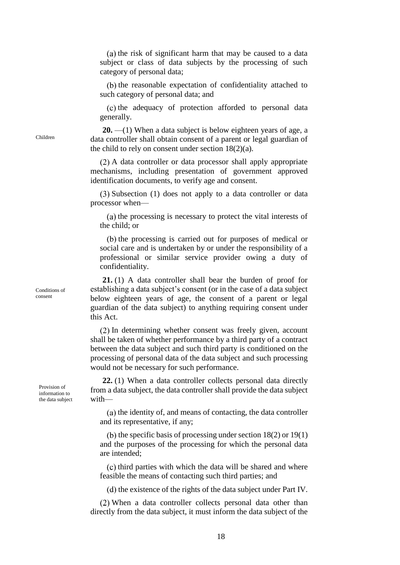$(a)$  the risk of significant harm that may be caused to a data subject or class of data subjects by the processing of such category of personal data;

(b) the reasonable expectation of confidentiality attached to such category of personal data; and

(c) the adequacy of protection afforded to personal data generally.

<span id="page-17-0"></span>**20.** —(1) When a data subject is below eighteen years of age, a data controller shall obtain consent of a parent or legal guardian of the child to rely on consent under section  $18(2)(a)$  $18(2)(a)$  $18(2)(a)$ .

A data controller or data processor shall apply appropriate mechanisms, including presentation of government approved identification documents, to verify age and consent.

 $(3)$  Subsection  $(1)$  does not apply to a data controller or data processor when—

(a) the processing is necessary to protect the vital interests of the child; or

 $(b)$  the processing is carried out for purposes of medical or social care and is undertaken by or under the responsibility of a professional or similar service provider owing a duty of confidentiality.

<span id="page-17-1"></span>**21.** (1) A data controller shall bear the burden of proof for establishing a data subject's consent (or in the case of a data subject below eighteen years of age, the consent of a parent or legal guardian of the data subject) to anything requiring consent under this Act.

 $(2)$  In determining whether consent was freely given, account shall be taken of whether performance by a third party of a contract between the data subject and such third party is conditioned on the processing of personal data of the data subject and such processing would not be necessary for such performance.

<span id="page-17-2"></span>**22.** (1) When a data controller collects personal data directly from a data subject, the data controller shall provide the data subject with—

 $(a)$  the identity of, and means of contacting, the data controller and its representative, if any;

(b) the specific basis of processing under section  $18(2)$  $18(2)$  or  $19(1)$ and the purposes of the processing for which the personal data are intended;

 $(c)$  third parties with which the data will be shared and where feasible the means of contacting such third parties; and

 $(d)$  the existence of the rights of the data subject under Part IV.

When a data controller collects personal data other than directly from the data subject, it must inform the data subject of the

Conditions of consent

Provision of information to the data subject

Children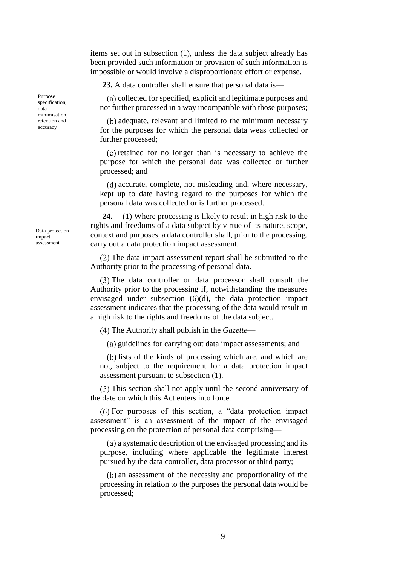items set out in subsection (1), unless the data subject already has been provided such information or provision of such information is impossible or would involve a disproportionate effort or expense.

<span id="page-18-0"></span>**23.** A data controller shall ensure that personal data is—

(a) collected for specified, explicit and legitimate purposes and not further processed in a way incompatible with those purposes;

(b) adequate, relevant and limited to the minimum necessary for the purposes for which the personal data weas collected or further processed;

(c) retained for no longer than is necessary to achieve the purpose for which the personal data was collected or further processed; and

(d) accurate, complete, not misleading and, where necessary, kept up to date having regard to the purposes for which the personal data was collected or is further processed.

<span id="page-18-1"></span>**24.** —(1) Where processing is likely to result in high risk to the rights and freedoms of a data subject by virtue of its nature, scope, context and purposes, a data controller shall, prior to the processing, carry out a data protection impact assessment.

 $(2)$  The data impact assessment report shall be submitted to the Authority prior to the processing of personal data.

The data controller or data processor shall consult the Authority prior to the processing if, notwithstanding the measures envisaged under subsection [\(6\)](#page-18-2)[\(d\),](#page-19-2) the data protection impact assessment indicates that the processing of the data would result in a high risk to the rights and freedoms of the data subject.

The Authority shall publish in the *Gazette*—

(a) guidelines for carrying out data impact assessments; and

(b) lists of the kinds of processing which are, and which are not, subject to the requirement for a data protection impact assessment pursuant to subsection (1).

(5) This section shall not apply until the second anniversary of the date on which this Act enters into force.

<span id="page-18-2"></span> $(6)$  For purposes of this section, a "data protection impact assessment" is an assessment of the impact of the envisaged processing on the protection of personal data comprising—

(a) a systematic description of the envisaged processing and its purpose, including where applicable the legitimate interest pursued by the data controller, data processor or third party;

(b) an assessment of the necessity and proportionality of the processing in relation to the purposes the personal data would be processed;

specification, data minimisation, retention and accuracy

Purpose

Data protection impact assessment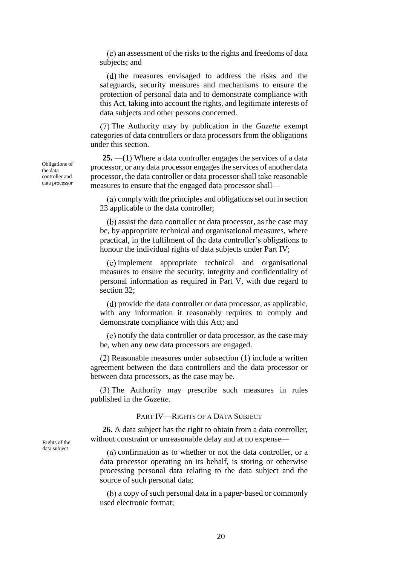an assessment of the risks to the rights and freedoms of data subjects; and

<span id="page-19-2"></span>(d) the measures envisaged to address the risks and the safeguards, security measures and mechanisms to ensure the protection of personal data and to demonstrate compliance with this Act, taking into account the rights, and legitimate interests of data subjects and other persons concerned.

The Authority may by publication in the *Gazette* exempt categories of data controllers or data processors from the obligations under this section.

<span id="page-19-0"></span>**25.** —(1) Where a data controller engages the services of a data processor, or any data processor engages the services of another data processor, the data controller or data processor shall take reasonable measures to ensure that the engaged data processor shall—

(a) comply with the principles and obligations set out in section [23](#page-18-0) applicable to the data controller;

(b) assist the data controller or data processor, as the case may be, by appropriate technical and organisational measures, where practical, in the fulfilment of the data controller's obligations to honour the individual rights of data subjects under Part IV;

(c) implement appropriate technical and organisational measures to ensure the security, integrity and confidentiality of personal information as required in Part V, with due regard to section [32;](#page-21-1)

provide the data controller or data processor, as applicable, with any information it reasonably requires to comply and demonstrate compliance with this Act; and

notify the data controller or data processor, as the case may be, when any new data processors are engaged.

 $(2)$  Reasonable measures under subsection  $(1)$  include a written agreement between the data controllers and the data processor or between data processors, as the case may be.

(3) The Authority may prescribe such measures in rules published in the *Gazette*.

#### PART IV—RIGHTS OF A DATA SUBJECT

<span id="page-19-1"></span>**26.** A data subject has the right to obtain from a data controller, without constraint or unreasonable delay and at no expense—

 $(a)$  confirmation as to whether or not the data controller, or a data processor operating on its behalf, is storing or otherwise processing personal data relating to the data subject and the source of such personal data;

a copy of such personal data in a paper-based or commonly used electronic format;

Obligations of the data controller and data processor

Rights of the data subject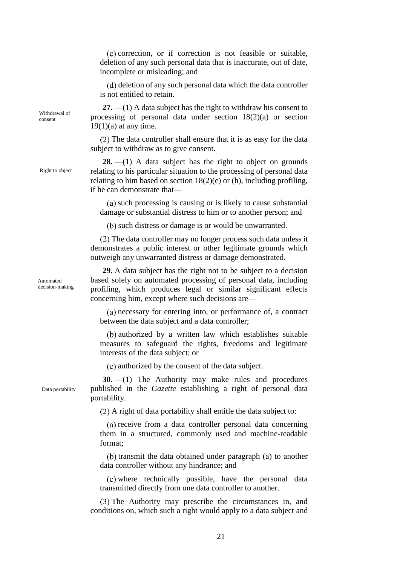$(c)$  correction, or if correction is not feasible or suitable, deletion of any such personal data that is inaccurate, out of date, incomplete or misleading; and

deletion of any such personal data which the data controller is not entitled to retain.

<span id="page-20-0"></span>**27.** —(1) A data subject has the right to withdraw his consent to processing of personal data under section [18](#page-15-1)[\(2\)](#page-15-2)[\(a\)](#page-15-3) or section  $19(1)(a)$  $19(1)(a)$  $19(1)(a)$  at any time.

 $(2)$  The data controller shall ensure that it is as easy for the data subject to withdraw as to give consent.

<span id="page-20-1"></span>**28.** —(1) A data subject has the right to object on grounds relating to his particular situation to the processing of personal data relating to him based on section [18](#page-15-1)[\(2\)](#page-15-2)[\(e\)](#page-15-4) or [\(h\),](#page-15-5) including profiling, if he can demonstrate that—

 $(a)$  such processing is causing or is likely to cause substantial damage or substantial distress to him or to another person; and

(b) such distress or damage is or would be unwarranted.

 $(2)$  The data controller may no longer process such data unless it demonstrates a public interest or other legitimate grounds which outweigh any unwarranted distress or damage demonstrated.

<span id="page-20-2"></span>**29.** A data subject has the right not to be subject to a decision based solely on automated processing of personal data, including profiling, which produces legal or similar significant effects concerning him, except where such decisions are—

necessary for entering into, or performance of, a contract between the data subject and a data controller;

authorized by a written law which establishes suitable measures to safeguard the rights, freedoms and legitimate interests of the data subject; or

authorized by the consent of the data subject.

<span id="page-20-3"></span>**30.** —(1) The Authority may make rules and procedures published in the *Gazette* establishing a right of personal data portability.

 $(2)$  A right of data portability shall entitle the data subject to:

<span id="page-20-4"></span>(a) receive from a data controller personal data concerning them in a structured, commonly used and machine-readable format;

 $(b)$  transmit the data obtained under paragraph  $(a)$  to another data controller without any hindrance; and

where technically possible, have the personal data transmitted directly from one data controller to another.

 $(3)$  The Authority may prescribe the circumstances in, and conditions on, which such a right would apply to a data subject and

Withdrawal of consent

Right to object

Automated decision-making

Data portability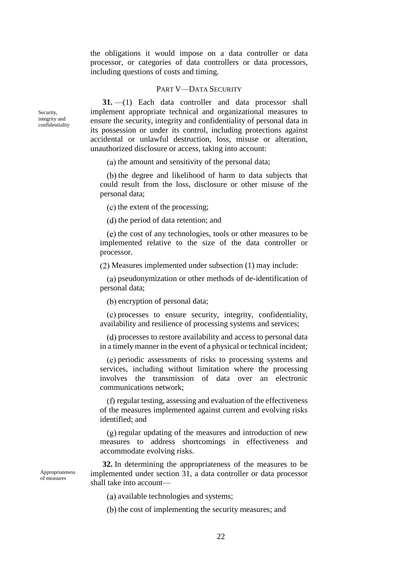the obligations it would impose on a data controller or data processor, or categories of data controllers or data processors, including questions of costs and timing.

#### PART V—DATA SECURITY

<span id="page-21-0"></span>**31.** —(1) Each data controller and data processor shall implement appropriate technical and organizational measures to ensure the security, integrity and confidentiality of personal data in its possession or under its control, including protections against accidental or unlawful destruction, loss, misuse or alteration, unauthorized disclosure or access, taking into account:

 $(a)$  the amount and sensitivity of the personal data;

(b) the degree and likelihood of harm to data subjects that could result from the loss, disclosure or other misuse of the personal data;

 $(c)$  the extent of the processing;

 $(d)$  the period of data retention; and

(e) the cost of any technologies, tools or other measures to be implemented relative to the size of the data controller or processor.

 $(2)$  Measures implemented under subsection  $(1)$  may include:

pseudonymization or other methods of de-identification of personal data;

(b) encryption of personal data;

processes to ensure security, integrity, confidentiality, availability and resilience of processing systems and services;

processes to restore availability and access to personal data in a timely manner in the event of a physical or technical incident;

periodic assessments of risks to processing systems and services, including without limitation where the processing involves the transmission of data over an electronic communications network;

 $f$  regular testing, assessing and evaluation of the effectiveness of the measures implemented against current and evolving risks identified; and

 $(g)$  regular updating of the measures and introduction of new measures to address shortcomings in effectiveness and accommodate evolving risks.

<span id="page-21-1"></span>**32.** In determining the appropriateness of the measures to be implemented under section [31,](#page-21-0) a data controller or data processor shall take into account—

(a) available technologies and systems:

(b) the cost of implementing the security measures; and

Security, integrity and confidentiality

Appropriateness of measures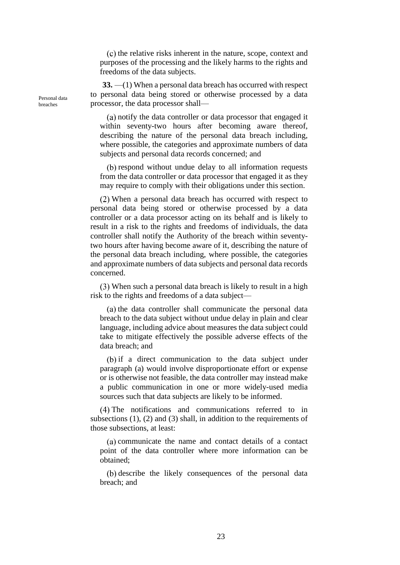(c) the relative risks inherent in the nature, scope, context and purposes of the processing and the likely harms to the rights and freedoms of the data subjects.

<span id="page-22-0"></span>**33.** —(1) When a personal data breach has occurred with respect to personal data being stored or otherwise processed by a data processor, the data processor shall—

notify the data controller or data processor that engaged it within seventy-two hours after becoming aware thereof, describing the nature of the personal data breach including, where possible, the categories and approximate numbers of data subjects and personal data records concerned; and

(b) respond without undue delay to all information requests from the data controller or data processor that engaged it as they may require to comply with their obligations under this section.

<span id="page-22-2"></span>When a personal data breach has occurred with respect to personal data being stored or otherwise processed by a data controller or a data processor acting on its behalf and is likely to result in a risk to the rights and freedoms of individuals, the data controller shall notify the Authority of the breach within seventytwo hours after having become aware of it, describing the nature of the personal data breach including, where possible, the categories and approximate numbers of data subjects and personal data records concerned.

<span id="page-22-3"></span>When such a personal data breach is likely to result in a high risk to the rights and freedoms of a data subject—

<span id="page-22-1"></span>(a) the data controller shall communicate the personal data breach to the data subject without undue delay in plain and clear language, including advice about measures the data subject could take to mitigate effectively the possible adverse effects of the data breach; and

(b) if a direct communication to the data subject under paragraph [\(a\)](#page-22-1) would involve disproportionate effort or expense or is otherwise not feasible, the data controller may instead make a public communication in one or more widely-used media sources such that data subjects are likely to be informed.

The notifications and communications referred to in subsections (1), [\(2\)](#page-22-2) and [\(3\)](#page-22-3) shall, in addition to the requirements of those subsections, at least:

communicate the name and contact details of a contact point of the data controller where more information can be obtained;

describe the likely consequences of the personal data breach; and

Personal data breaches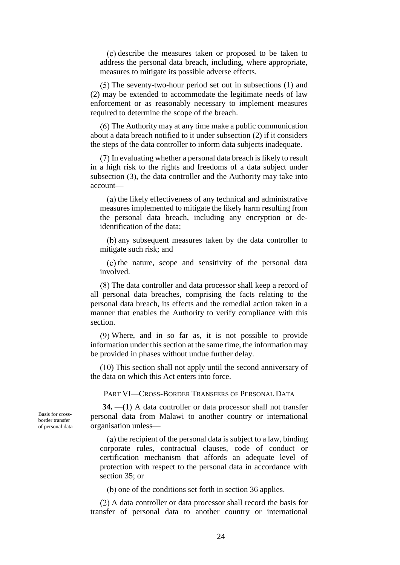describe the measures taken or proposed to be taken to address the personal data breach, including, where appropriate, measures to mitigate its possible adverse effects.

 $(5)$  The seventy-two-hour period set out in subsections  $(1)$  and [\(2\)](#page-22-2) may be extended to accommodate the legitimate needs of law enforcement or as reasonably necessary to implement measures required to determine the scope of the breach.

 $(6)$  The Authority may at any time make a public communication about a data breach notified to it under subsection [\(2\)](#page-22-2) if it considers the steps of the data controller to inform data subjects inadequate.

In evaluating whether a personal data breach is likely to result in a high risk to the rights and freedoms of a data subject under subsection [\(3\),](#page-22-3) the data controller and the Authority may take into account—

 $(a)$  the likely effectiveness of any technical and administrative measures implemented to mitigate the likely harm resulting from the personal data breach, including any encryption or deidentification of the data;

any subsequent measures taken by the data controller to mitigate such risk; and

 $(t)$  the nature, scope and sensitivity of the personal data involved.

(8) The data controller and data processor shall keep a record of all personal data breaches, comprising the facts relating to the personal data breach, its effects and the remedial action taken in a manner that enables the Authority to verify compliance with this section.

Where, and in so far as, it is not possible to provide information under this section at the same time, the information may be provided in phases without undue further delay.

 $(10)$  This section shall not apply until the second anniversary of the data on which this Act enters into force.

PART VI—CROSS-BORDER TRANSFERS OF PERSONAL DATA

<span id="page-23-0"></span>**34.** —(1) A data controller or data processor shall not transfer personal data from Malawi to another country or international organisation unless—

<span id="page-23-1"></span> $(a)$  the recipient of the personal data is subject to a law, binding corporate rules, contractual clauses, code of conduct or certification mechanism that affords an adequate level of protection with respect to the personal data in accordance with section [35;](#page-24-0) or

 $(b)$  one of the conditions set forth in section [36](#page-25-0) applies.

A data controller or data processor shall record the basis for transfer of personal data to another country or international

Basis for crossborder transfer of personal data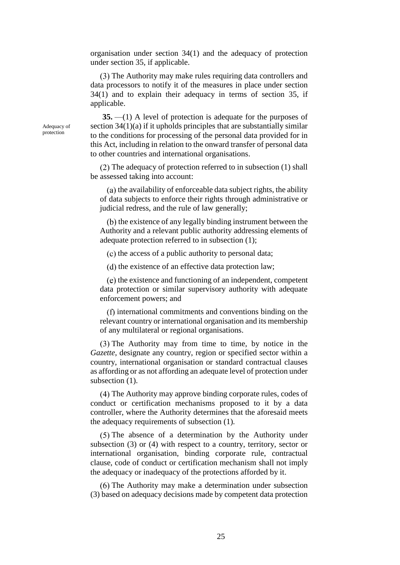organisation under section [34\(](#page-23-0)1) and the adequacy of protection under section [35,](#page-24-0) if applicable.

(3) The Authority may make rules requiring data controllers and data processors to notify it of the measures in place under section [34\(](#page-23-0)1) and to explain their adequacy in terms of section [35,](#page-24-0) if applicable.

<span id="page-24-0"></span>**35.** —(1) A level of protection is adequate for the purposes of section [34\(](#page-23-0)1[\)\(a\)](#page-23-1) if it upholds principles that are substantially similar to the conditions for processing of the personal data provided for in this Act, including in relation to the onward transfer of personal data to other countries and international organisations.

<span id="page-24-3"></span> $(2)$  The adequacy of protection referred to in subsection  $(1)$  shall be assessed taking into account:

 $(a)$  the availability of enforceable data subject rights, the ability of data subjects to enforce their rights through administrative or judicial redress, and the rule of law generally;

(b) the existence of any legally binding instrument between the Authority and a relevant public authority addressing elements of adequate protection referred to in subsection (1);

 $(c)$  the access of a public authority to personal data;

 $(d)$  the existence of an effective data protection law;

 $(e)$  the existence and functioning of an independent, competent data protection or similar supervisory authority with adequate enforcement powers; and

(f) international commitments and conventions binding on the relevant country or international organisation and its membership of any multilateral or regional organisations.

<span id="page-24-1"></span> $(3)$  The Authority may from time to time, by notice in the *Gazette*, designate any country, region or specified sector within a country, international organisation or standard contractual clauses as affording or as not affording an adequate level of protection under subsection  $(1)$ .

<span id="page-24-2"></span>The Authority may approve binding corporate rules, codes of conduct or certification mechanisms proposed to it by a data controller, where the Authority determines that the aforesaid meets the adequacy requirements of subsection (1).

 $(5)$  The absence of a determination by the Authority under subsection [\(3\)](#page-24-1) or [\(4\)](#page-24-2) with respect to a country, territory, sector or international organisation, binding corporate rule, contractual clause, code of conduct or certification mechanism shall not imply the adequacy or inadequacy of the protections afforded by it.

(6) The Authority may make a determination under subsection [\(3\)](#page-24-1) based on adequacy decisions made by competent data protection

Adequacy of protection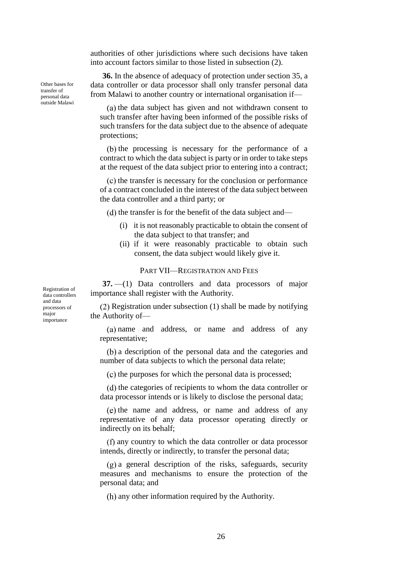authorities of other jurisdictions where such decisions have taken into account factors similar to those listed in subsection [\(2\).](#page-24-3)

<span id="page-25-0"></span>**36.** In the absence of adequacy of protection under section [35,](#page-24-0) a data controller or data processor shall only transfer personal data from Malawi to another country or international organisation if—

 $(a)$  the data subject has given and not withdrawn consent to such transfer after having been informed of the possible risks of such transfers for the data subject due to the absence of adequate protections;

 $(b)$  the processing is necessary for the performance of a contract to which the data subject is party or in order to take steps at the request of the data subject prior to entering into a contract;

 $\alpha$  (c) the transfer is necessary for the conclusion or performance of a contract concluded in the interest of the data subject between the data controller and a third party; or

 $(d)$  the transfer is for the benefit of the data subject and—

- (i) it is not reasonably practicable to obtain the consent of the data subject to that transfer; and
- (ii) if it were reasonably practicable to obtain such consent, the data subject would likely give it.

PART VII—REGISTRATION AND FEES

<span id="page-25-1"></span>**37.** —(1) Data controllers and data processors of major importance shall register with the Authority.

<span id="page-25-2"></span> $(2)$  Registration under subsection  $(1)$  shall be made by notifying the Authority of—

name and address, or name and address of any representative;

a description of the personal data and the categories and number of data subjects to which the personal data relate;

 $\alpha$  (c) the purposes for which the personal data is processed;

(d) the categories of recipients to whom the data controller or data processor intends or is likely to disclose the personal data;

 $(e)$  the name and address, or name and address of any representative of any data processor operating directly or indirectly on its behalf;

 $(f)$  any country to which the data controller or data processor intends, directly or indirectly, to transfer the personal data;

 $(g)$  a general description of the risks, safeguards, security measures and mechanisms to ensure the protection of the personal data; and

any other information required by the Authority.

Registration of data controllers and data processors of major importance

Other bases for transfer of personal data outside Malawi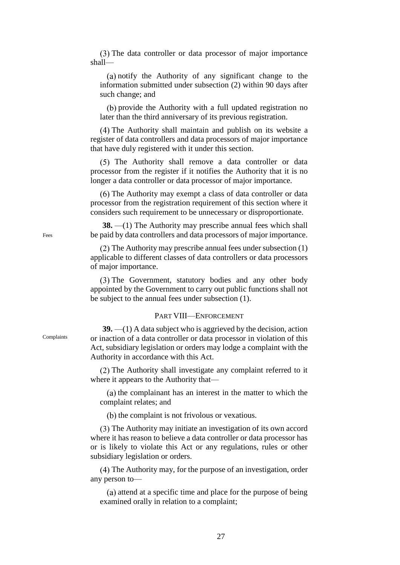(3) The data controller or data processor of major importance shall—

notify the Authority of any significant change to the information submitted under subsection [\(2\)](#page-25-2) within 90 days after such change; and

(b) provide the Authority with a full updated registration no later than the third anniversary of its previous registration.

(4) The Authority shall maintain and publish on its website a register of data controllers and data processors of major importance that have duly registered with it under this section.

(5) The Authority shall remove a data controller or data processor from the register if it notifies the Authority that it is no longer a data controller or data processor of major importance.

(6) The Authority may exempt a class of data controller or data processor from the registration requirement of this section where it considers such requirement to be unnecessary or disproportionate.

<span id="page-26-0"></span>**38.** —(1) The Authority may prescribe annual fees which shall be paid by data controllers and data processors of major importance.

 $(2)$  The Authority may prescribe annual fees under subsection  $(1)$ applicable to different classes of data controllers or data processors of major importance.

(3) The Government, statutory bodies and any other body appointed by the Government to carry out public functions shall not be subject to the annual fees under subsection (1).

#### PART VIII—ENFORCEMENT

<span id="page-26-1"></span>**39.** —(1) A data subject who is aggrieved by the decision, action or inaction of a data controller or data processor in violation of this Act, subsidiary legislation or orders may lodge a complaint with the Authority in accordance with this Act.

 $(2)$  The Authority shall investigate any complaint referred to it where it appears to the Authority that—

 $\alpha$ ) the complainant has an interest in the matter to which the complaint relates; and

(b) the complaint is not frivolous or vexatious.

(3) The Authority may initiate an investigation of its own accord where it has reason to believe a data controller or data processor has or is likely to violate this Act or any regulations, rules or other subsidiary legislation or orders.

The Authority may, for the purpose of an investigation, order any person to—

(a) attend at a specific time and place for the purpose of being examined orally in relation to a complaint;

Fees

Complaints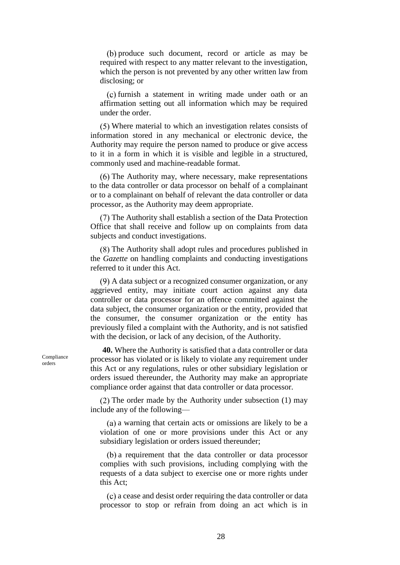(b) produce such document, record or article as may be required with respect to any matter relevant to the investigation, which the person is not prevented by any other written law from disclosing; or

furnish a statement in writing made under oath or an affirmation setting out all information which may be required under the order.

Where material to which an investigation relates consists of information stored in any mechanical or electronic device, the Authority may require the person named to produce or give access to it in a form in which it is visible and legible in a structured, commonly used and machine-readable format.

 $(6)$  The Authority may, where necessary, make representations to the data controller or data processor on behalf of a complainant or to a complainant on behalf of relevant the data controller or data processor, as the Authority may deem appropriate.

The Authority shall establish a section of the Data Protection Office that shall receive and follow up on complaints from data subjects and conduct investigations.

The Authority shall adopt rules and procedures published in the *Gazette* on handling complaints and conducting investigations referred to it under this Act.

A data subject or a recognized consumer organization, or any aggrieved entity, may initiate court action against any data controller or data processor for an offence committed against the data subject, the consumer organization or the entity, provided that the consumer, the consumer organization or the entity has previously filed a complaint with the Authority, and is not satisfied with the decision, or lack of any decision, of the Authority.

<span id="page-27-0"></span>**40.** Where the Authority is satisfied that a data controller or data processor has violated or is likely to violate any requirement under this Act or any regulations, rules or other subsidiary legislation or orders issued thereunder, the Authority may make an appropriate compliance order against that data controller or data processor.

 $(2)$  The order made by the Authority under subsection  $(1)$  may include any of the following—

a warning that certain acts or omissions are likely to be a violation of one or more provisions under this Act or any subsidiary legislation or orders issued thereunder;

a requirement that the data controller or data processor complies with such provisions, including complying with the requests of a data subject to exercise one or more rights under this Act;

a cease and desist order requiring the data controller or data processor to stop or refrain from doing an act which is in

Compliance orders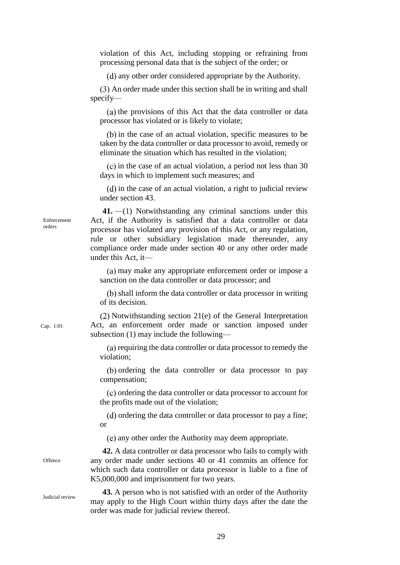violation of this Act, including stopping or refraining from processing personal data that is the subject of the order; or

any other order considered appropriate by the Authority.

An order made under this section shall be in writing and shall specify—

(a) the provisions of this Act that the data controller or data processor has violated or is likely to violate;

(b) in the case of an actual violation, specific measures to be taken by the data controller or data processor to avoid, remedy or eliminate the situation which has resulted in the violation;

 $(c)$  in the case of an actual violation, a period not less than 30 days in which to implement such measures; and

 $(d)$  in the case of an actual violation, a right to judicial review under section [43.](#page-28-2)

<span id="page-28-0"></span>**41.** —(1) Notwithstanding any criminal sanctions under this Act, if the Authority is satisfied that a data controller or data processor has violated any provision of this Act, or any regulation, rule or other subsidiary legislation made thereunder, any compliance order made under section [40](#page-27-0) or any other order made under this Act, it—

may make any appropriate enforcement order or impose a sanction on the data controller or data processor; and

(b) shall inform the data controller or data processor in writing of its decision.

 $(2)$  Notwithstanding section 21 $(e)$  of the General Interpretation Act, an enforcement order made or sanction imposed under subsection (1) may include the following—

(a) requiring the data controller or data processor to remedy the violation;

 $(b)$  ordering the data controller or data processor to pay compensation;

ordering the data controller or data processor to account for the profits made out of the violation;

 $(d)$  ordering the data controller or data processor to pay a fine; or

<span id="page-28-1"></span>any other order the Authority may deem appropriate.

**42.** A data controller or data processor who fails to comply with any order made under sections [40](#page-27-0) or [41](#page-28-0) commits an offence for which such data controller or data processor is liable to a fine of K5,000,000 and imprisonment for two years.

Judicial review

**Offence** 

<span id="page-28-2"></span>**43.** A person who is not satisfied with an order of the Authority may apply to the High Court within thirty days after the date the order was made for judicial review thereof.

Enforcement orders

Cap. 1:01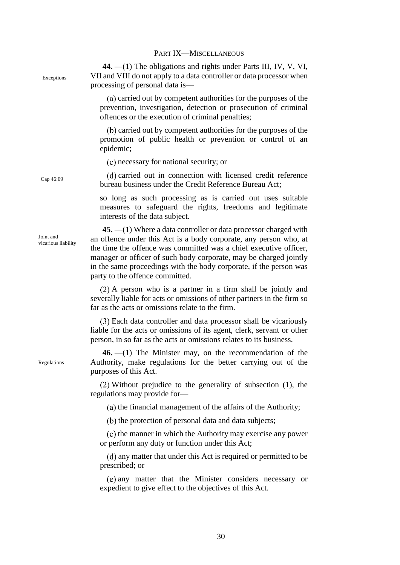<span id="page-29-1"></span><span id="page-29-0"></span>

| Exceptions                       | 44. $-(1)$ The obligations and rights under Parts III, IV, V, VI,<br>VII and VIII do not apply to a data controller or data processor when<br>processing of personal data is—                                                                                                                                                                                                             |
|----------------------------------|-------------------------------------------------------------------------------------------------------------------------------------------------------------------------------------------------------------------------------------------------------------------------------------------------------------------------------------------------------------------------------------------|
|                                  | (a) carried out by competent authorities for the purposes of the<br>prevention, investigation, detection or prosecution of criminal<br>offences or the execution of criminal penalties;                                                                                                                                                                                                   |
|                                  | (b) carried out by competent authorities for the purposes of the<br>promotion of public health or prevention or control of an<br>epidemic;                                                                                                                                                                                                                                                |
|                                  | (c) necessary for national security; or                                                                                                                                                                                                                                                                                                                                                   |
| Cap 46:09                        | (d) carried out in connection with licensed credit reference<br>bureau business under the Credit Reference Bureau Act;                                                                                                                                                                                                                                                                    |
|                                  | so long as such processing as is carried out uses suitable<br>measures to safeguard the rights, freedoms and legitimate<br>interests of the data subject.                                                                                                                                                                                                                                 |
| Joint and<br>vicarious liability | 45. $-(1)$ Where a data controller or data processor charged with<br>an offence under this Act is a body corporate, any person who, at<br>the time the offence was committed was a chief executive officer,<br>manager or officer of such body corporate, may be charged jointly<br>in the same proceedings with the body corporate, if the person was<br>party to the offence committed. |
|                                  | $(2)$ A person who is a partner in a firm shall be jointly and<br>severally liable for acts or omissions of other partners in the firm so<br>far as the acts or omissions relate to the firm.                                                                                                                                                                                             |
|                                  | (3) Each data controller and data processor shall be vicariously<br>liable for the acts or omissions of its agent, clerk, servant or other<br>person, in so far as the acts or omissions relates to its business.                                                                                                                                                                         |
| Regulations                      | $46. - (1)$ The Minister may, on the recommendation of the<br>Authority, make regulations for the better carrying out of the<br>purposes of this Act.                                                                                                                                                                                                                                     |
|                                  | $(2)$ Without prejudice to the generality of subsection $(1)$ , the<br>regulations may provide for-                                                                                                                                                                                                                                                                                       |
|                                  | (a) the financial management of the affairs of the Authority;                                                                                                                                                                                                                                                                                                                             |
|                                  | (b) the protection of personal data and data subjects;                                                                                                                                                                                                                                                                                                                                    |
|                                  | (c) the manner in which the Authority may exercise any power<br>or perform any duty or function under this Act;                                                                                                                                                                                                                                                                           |

<span id="page-29-2"></span>any matter that under this Act is required or permitted to be prescribed; or

any matter that the Minister considers necessary or expedient to give effect to the objectives of this Act.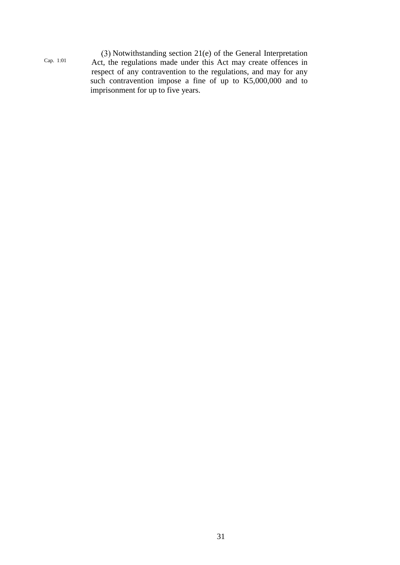Cap. 1:01

 $(3)$  Notwithstanding section 21 $(e)$  of the General Interpretation Act, the regulations made under this Act may create offences in respect of any contravention to the regulations, and may for any such contravention impose a fine of up to K5,000,000 and to imprisonment for up to five years.